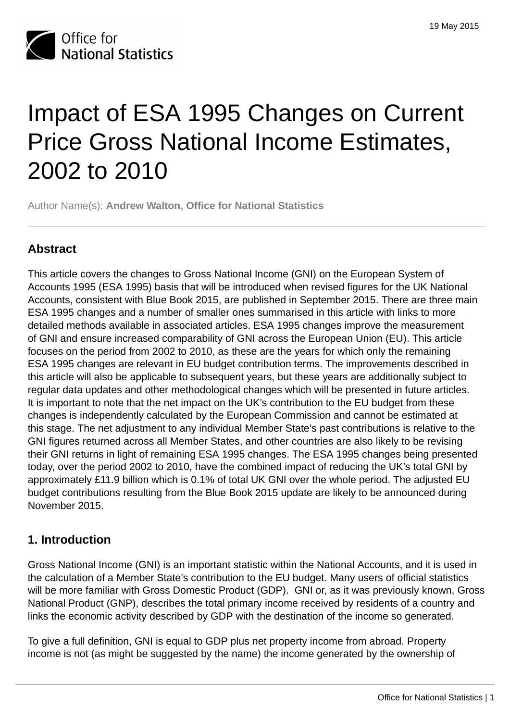

# Impact of ESA 1995 Changes on Current Price Gross National Income Estimates, 2002 to 2010

Author Name(s): **Andrew Walton, Office for National Statistics**

# **Abstract**

This article covers the changes to Gross National Income (GNI) on the European System of Accounts 1995 (ESA 1995) basis that will be introduced when revised figures for the UK National Accounts, consistent with Blue Book 2015, are published in September 2015. There are three main ESA 1995 changes and a number of smaller ones summarised in this article with links to more detailed methods available in associated articles. ESA 1995 changes improve the measurement of GNI and ensure increased comparability of GNI across the European Union (EU). This article focuses on the period from 2002 to 2010, as these are the years for which only the remaining ESA 1995 changes are relevant in EU budget contribution terms. The improvements described in this article will also be applicable to subsequent years, but these years are additionally subject to regular data updates and other methodological changes which will be presented in future articles. It is important to note that the net impact on the UK's contribution to the EU budget from these changes is independently calculated by the European Commission and cannot be estimated at this stage. The net adjustment to any individual Member State's past contributions is relative to the GNI figures returned across all Member States, and other countries are also likely to be revising their GNI returns in light of remaining ESA 1995 changes. The ESA 1995 changes being presented today, over the period 2002 to 2010, have the combined impact of reducing the UK's total GNI by approximately £11.9 billion which is 0.1% of total UK GNI over the whole period. The adjusted EU budget contributions resulting from the Blue Book 2015 update are likely to be announced during November 2015.

## **1. Introduction**

Gross National Income (GNI) is an important statistic within the National Accounts, and it is used in the calculation of a Member State's contribution to the EU budget. Many users of official statistics will be more familiar with Gross Domestic Product (GDP). GNI or, as it was previously known, Gross National Product (GNP), describes the total primary income received by residents of a country and links the economic activity described by GDP with the destination of the income so generated.

To give a full definition, GNI is equal to GDP plus net property income from abroad. Property income is not (as might be suggested by the name) the income generated by the ownership of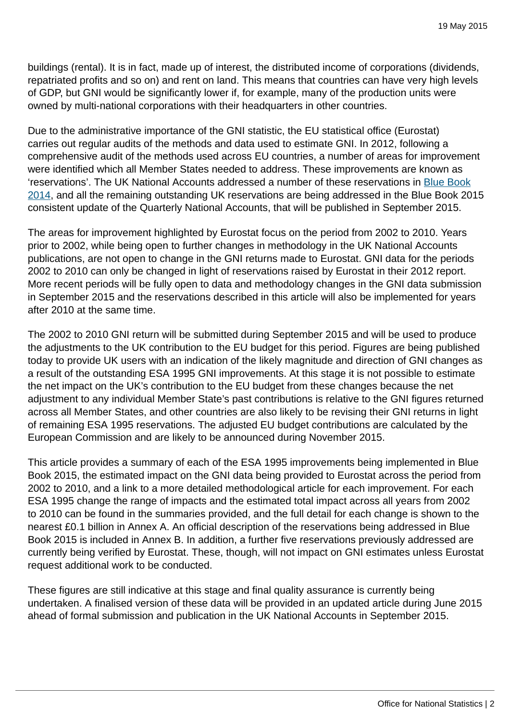buildings (rental). It is in fact, made up of interest, the distributed income of corporations (dividends, repatriated profits and so on) and rent on land. This means that countries can have very high levels of GDP, but GNI would be significantly lower if, for example, many of the production units were owned by multi-national corporations with their headquarters in other countries.

Due to the administrative importance of the GNI statistic, the EU statistical office (Eurostat) carries out regular audits of the methods and data used to estimate GNI. In 2012, following a comprehensive audit of the methods used across EU countries, a number of areas for improvement were identified which all Member States needed to address. These improvements are known as 'reservations'. The UK National Accounts addressed a number of these reservations in [Blue Book](http://www.ons.gov.uk:80/ons/rel/naa1-rd/united-kingdom-national-accounts/the-blue-book--2014-edition/index.html) [2014](http://www.ons.gov.uk:80/ons/rel/naa1-rd/united-kingdom-national-accounts/the-blue-book--2014-edition/index.html), and all the remaining outstanding UK reservations are being addressed in the Blue Book 2015 consistent update of the Quarterly National Accounts, that will be published in September 2015.

The areas for improvement highlighted by Eurostat focus on the period from 2002 to 2010. Years prior to 2002, while being open to further changes in methodology in the UK National Accounts publications, are not open to change in the GNI returns made to Eurostat. GNI data for the periods 2002 to 2010 can only be changed in light of reservations raised by Eurostat in their 2012 report. More recent periods will be fully open to data and methodology changes in the GNI data submission in September 2015 and the reservations described in this article will also be implemented for years after 2010 at the same time.

The 2002 to 2010 GNI return will be submitted during September 2015 and will be used to produce the adjustments to the UK contribution to the EU budget for this period. Figures are being published today to provide UK users with an indication of the likely magnitude and direction of GNI changes as a result of the outstanding ESA 1995 GNI improvements. At this stage it is not possible to estimate the net impact on the UK's contribution to the EU budget from these changes because the net adjustment to any individual Member State's past contributions is relative to the GNI figures returned across all Member States, and other countries are also likely to be revising their GNI returns in light of remaining ESA 1995 reservations. The adjusted EU budget contributions are calculated by the European Commission and are likely to be announced during November 2015.

This article provides a summary of each of the ESA 1995 improvements being implemented in Blue Book 2015, the estimated impact on the GNI data being provided to Eurostat across the period from 2002 to 2010, and a link to a more detailed methodological article for each improvement. For each ESA 1995 change the range of impacts and the estimated total impact across all years from 2002 to 2010 can be found in the summaries provided, and the full detail for each change is shown to the nearest £0.1 billion in Annex A. An official description of the reservations being addressed in Blue Book 2015 is included in Annex B. In addition, a further five reservations previously addressed are currently being verified by Eurostat. These, though, will not impact on GNI estimates unless Eurostat request additional work to be conducted.

These figures are still indicative at this stage and final quality assurance is currently being undertaken. A finalised version of these data will be provided in an updated article during June 2015 ahead of formal submission and publication in the UK National Accounts in September 2015.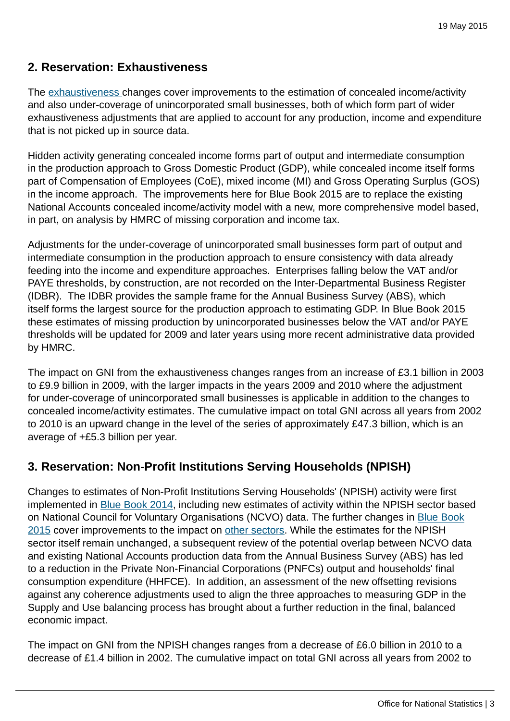# **2. Reservation: Exhaustiveness**

The [exhaustiveness](http://www.ons.gov.uk:80/ons/guide-method/method-quality/specific/economy/national-accounts/changes-to-national-accounts/blue-book-and-pink-book-2015-changes/index.html) changes cover improvements to the estimation of concealed income/activity and also under-coverage of unincorporated small businesses, both of which form part of wider exhaustiveness adjustments that are applied to account for any production, income and expenditure that is not picked up in source data.

Hidden activity generating concealed income forms part of output and intermediate consumption in the production approach to Gross Domestic Product (GDP), while concealed income itself forms part of Compensation of Employees (CoE), mixed income (MI) and Gross Operating Surplus (GOS) in the income approach. The improvements here for Blue Book 2015 are to replace the existing National Accounts concealed income/activity model with a new, more comprehensive model based, in part, on analysis by HMRC of missing corporation and income tax.

Adjustments for the under-coverage of unincorporated small businesses form part of output and intermediate consumption in the production approach to ensure consistency with data already feeding into the income and expenditure approaches. Enterprises falling below the VAT and/or PAYE thresholds, by construction, are not recorded on the Inter-Departmental Business Register (IDBR). The IDBR provides the sample frame for the Annual Business Survey (ABS), which itself forms the largest source for the production approach to estimating GDP. In Blue Book 2015 these estimates of missing production by unincorporated businesses below the VAT and/or PAYE thresholds will be updated for 2009 and later years using more recent administrative data provided by HMRC.

The impact on GNI from the exhaustiveness changes ranges from an increase of £3.1 billion in 2003 to £9.9 billion in 2009, with the larger impacts in the years 2009 and 2010 where the adjustment for under-coverage of unincorporated small businesses is applicable in addition to the changes to concealed income/activity estimates. The cumulative impact on total GNI across all years from 2002 to 2010 is an upward change in the level of the series of approximately £47.3 billion, which is an average of +£5.3 billion per year.

# **3. Reservation: Non-Profit Institutions Serving Households (NPISH)**

Changes to estimates of Non-Profit Institutions Serving Households' (NPISH) activity were first implemented in [Blue Book 2014,](http://www.ons.gov.uk:80/ons/rel/naa1-rd/united-kingdom-national-accounts/the-blue-book--2014-edition/index.html) including new estimates of activity within the NPISH sector based on National Council for Voluntary Organisations (NCVO) data. The further changes in [Blue Book](http://www.ons.gov.uk:80/ons/guide-method/method-quality/specific/economy/national-accounts/changes-to-national-accounts/blue-book-and-pink-book-2015-changes/index.html) [2015](http://www.ons.gov.uk:80/ons/guide-method/method-quality/specific/economy/national-accounts/changes-to-national-accounts/blue-book-and-pink-book-2015-changes/index.html) cover improvements to the impact on [other sectors.](http://www.ons.gov.uk:80/ons/guide-method/method-quality/specific/economy/national-accounts/changes-to-national-accounts/blue-book-and-pink-book-2015-changes/index.html) While the estimates for the NPISH sector itself remain unchanged, a subsequent review of the potential overlap between NCVO data and existing National Accounts production data from the Annual Business Survey (ABS) has led to a reduction in the Private Non-Financial Corporations (PNFCs) output and households' final consumption expenditure (HHFCE). In addition, an assessment of the new offsetting revisions against any coherence adjustments used to align the three approaches to measuring GDP in the Supply and Use balancing process has brought about a further reduction in the final, balanced economic impact.

The impact on GNI from the NPISH changes ranges from a decrease of £6.0 billion in 2010 to a decrease of £1.4 billion in 2002. The cumulative impact on total GNI across all years from 2002 to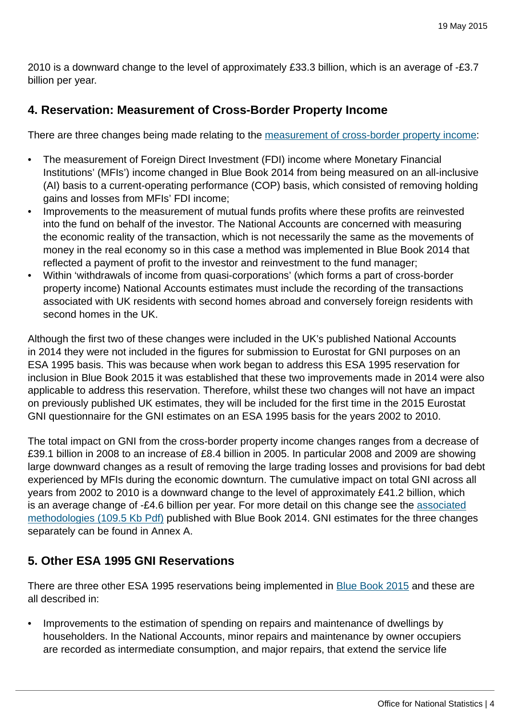2010 is a downward change to the level of approximately £33.3 billion, which is an average of -£3.7 billion per year.

## **4. Reservation: Measurement of Cross-Border Property Income**

There are three changes being made relating to the [measurement of cross-border property income:](http://www.ons.gov.uk:80/ons/guide-method/method-quality/specific/economy/national-accounts/changes-to-national-accounts/blue-book-and-pink-book-2015-changes/index.html)

- The measurement of Foreign Direct Investment (FDI) income where Monetary Financial Institutions' (MFIs') income changed in Blue Book 2014 from being measured on an all-inclusive (AI) basis to a current-operating performance (COP) basis, which consisted of removing holding gains and losses from MFIs' FDI income;
- Improvements to the measurement of mutual funds profits where these profits are reinvested into the fund on behalf of the investor. The National Accounts are concerned with measuring the economic reality of the transaction, which is not necessarily the same as the movements of money in the real economy so in this case a method was implemented in Blue Book 2014 that reflected a payment of profit to the investor and reinvestment to the fund manager;
- Within 'withdrawals of income from quasi-corporations' (which forms a part of cross-border property income) National Accounts estimates must include the recording of the transactions associated with UK residents with second homes abroad and conversely foreign residents with second homes in the UK.

Although the first two of these changes were included in the UK's published National Accounts in 2014 they were not included in the figures for submission to Eurostat for GNI purposes on an ESA 1995 basis. This was because when work began to address this ESA 1995 reservation for inclusion in Blue Book 2015 it was established that these two improvements made in 2014 were also applicable to address this reservation. Therefore, whilst these two changes will not have an impact on previously published UK estimates, they will be included for the first time in the 2015 Eurostat GNI questionnaire for the GNI estimates on an ESA 1995 basis for the years 2002 to 2010.

The total impact on GNI from the cross-border property income changes ranges from a decrease of £39.1 billion in 2008 to an increase of £8.4 billion in 2005. In particular 2008 and 2009 are showing large downward changes as a result of removing the large trading losses and provisions for bad debt experienced by MFIs during the economic downturn. The cumulative impact on total GNI across all years from 2002 to 2010 is a downward change to the level of approximately £41.2 billion, which is an average change of -£4.6 billion per year. For more detail on this change see the [associated](http://www.ons.gov.uk:80/ons/guide-method/method-quality/specific/economy/national-accounts/articles/2011-present/methodological-changes-to-the-measurement-of-the-balance-of-payments.pdf) [methodologies \(109.5 Kb Pdf\)](http://www.ons.gov.uk:80/ons/guide-method/method-quality/specific/economy/national-accounts/articles/2011-present/methodological-changes-to-the-measurement-of-the-balance-of-payments.pdf) published with Blue Book 2014. GNI estimates for the three changes separately can be found in Annex A.

## **5. Other ESA 1995 GNI Reservations**

There are three other ESA 1995 reservations being implemented in [Blue Book 2015](http://www.ons.gov.uk:80/ons/guide-method/method-quality/specific/economy/national-accounts/changes-to-national-accounts/blue-book-and-pink-book-2015-changes/index.html) and these are all described in:

• Improvements to the estimation of spending on repairs and maintenance of dwellings by householders. In the National Accounts, minor repairs and maintenance by owner occupiers are recorded as intermediate consumption, and major repairs, that extend the service life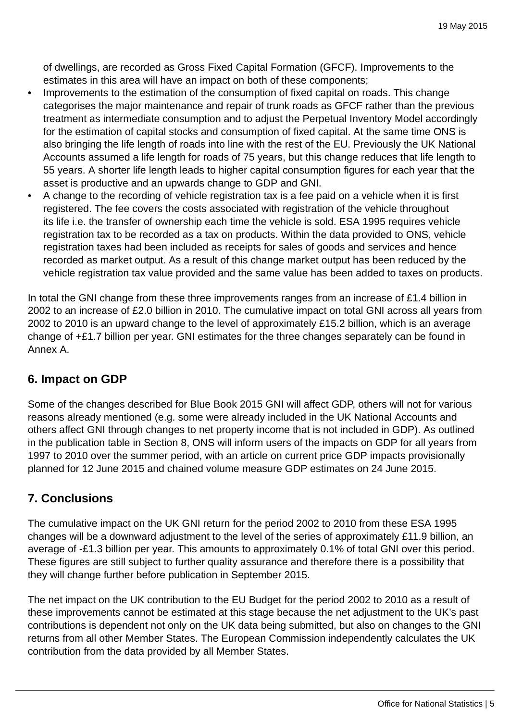of dwellings, are recorded as Gross Fixed Capital Formation (GFCF). Improvements to the estimates in this area will have an impact on both of these components;

- Improvements to the estimation of the consumption of fixed capital on roads. This change categorises the major maintenance and repair of trunk roads as GFCF rather than the previous treatment as intermediate consumption and to adjust the Perpetual Inventory Model accordingly for the estimation of capital stocks and consumption of fixed capital. At the same time ONS is also bringing the life length of roads into line with the rest of the EU. Previously the UK National Accounts assumed a life length for roads of 75 years, but this change reduces that life length to 55 years. A shorter life length leads to higher capital consumption figures for each year that the asset is productive and an upwards change to GDP and GNI.
- A change to the recording of vehicle registration tax is a fee paid on a vehicle when it is first registered. The fee covers the costs associated with registration of the vehicle throughout its life i.e. the transfer of ownership each time the vehicle is sold. ESA 1995 requires vehicle registration tax to be recorded as a tax on products. Within the data provided to ONS, vehicle registration taxes had been included as receipts for sales of goods and services and hence recorded as market output. As a result of this change market output has been reduced by the vehicle registration tax value provided and the same value has been added to taxes on products.

In total the GNI change from these three improvements ranges from an increase of £1.4 billion in 2002 to an increase of £2.0 billion in 2010. The cumulative impact on total GNI across all years from 2002 to 2010 is an upward change to the level of approximately £15.2 billion, which is an average change of +£1.7 billion per year. GNI estimates for the three changes separately can be found in Annex A.

## **6. Impact on GDP**

Some of the changes described for Blue Book 2015 GNI will affect GDP, others will not for various reasons already mentioned (e.g. some were already included in the UK National Accounts and others affect GNI through changes to net property income that is not included in GDP). As outlined in the publication table in Section 8, ONS will inform users of the impacts on GDP for all years from 1997 to 2010 over the summer period, with an article on current price GDP impacts provisionally planned for 12 June 2015 and chained volume measure GDP estimates on 24 June 2015.

# **7. Conclusions**

The cumulative impact on the UK GNI return for the period 2002 to 2010 from these ESA 1995 changes will be a downward adjustment to the level of the series of approximately £11.9 billion, an average of -£1.3 billion per year. This amounts to approximately 0.1% of total GNI over this period. These figures are still subject to further quality assurance and therefore there is a possibility that they will change further before publication in September 2015.

The net impact on the UK contribution to the EU Budget for the period 2002 to 2010 as a result of these improvements cannot be estimated at this stage because the net adjustment to the UK's past contributions is dependent not only on the UK data being submitted, but also on changes to the GNI returns from all other Member States. The European Commission independently calculates the UK contribution from the data provided by all Member States.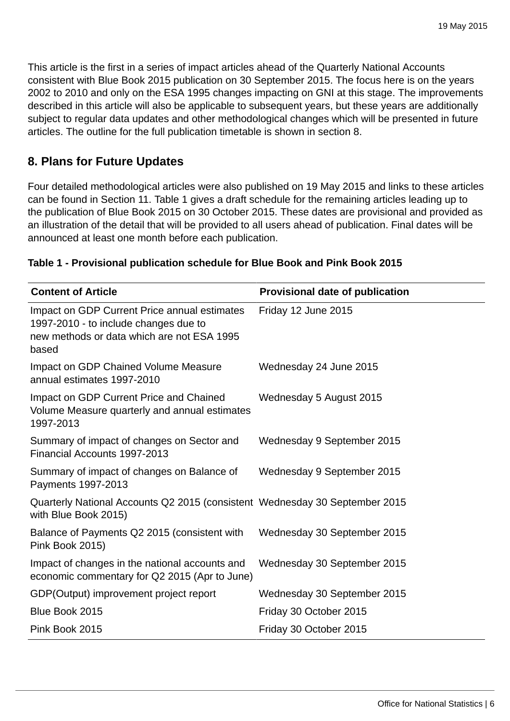This article is the first in a series of impact articles ahead of the Quarterly National Accounts consistent with Blue Book 2015 publication on 30 September 2015. The focus here is on the years 2002 to 2010 and only on the ESA 1995 changes impacting on GNI at this stage. The improvements described in this article will also be applicable to subsequent years, but these years are additionally subject to regular data updates and other methodological changes which will be presented in future articles. The outline for the full publication timetable is shown in section 8.

## **8. Plans for Future Updates**

Four detailed methodological articles were also published on 19 May 2015 and links to these articles can be found in Section 11. Table 1 gives a draft schedule for the remaining articles leading up to the publication of Blue Book 2015 on 30 October 2015. These dates are provisional and provided as an illustration of the detail that will be provided to all users ahead of publication. Final dates will be announced at least one month before each publication.

| <b>Content of Article</b>                                                                                                                    | <b>Provisional date of publication</b> |
|----------------------------------------------------------------------------------------------------------------------------------------------|----------------------------------------|
| Impact on GDP Current Price annual estimates<br>1997-2010 - to include changes due to<br>new methods or data which are not ESA 1995<br>based | Friday 12 June 2015                    |
| <b>Impact on GDP Chained Volume Measure</b><br>annual estimates 1997-2010                                                                    | Wednesday 24 June 2015                 |
| Impact on GDP Current Price and Chained<br>Volume Measure quarterly and annual estimates<br>1997-2013                                        | Wednesday 5 August 2015                |
| Summary of impact of changes on Sector and<br>Financial Accounts 1997-2013                                                                   | Wednesday 9 September 2015             |
| Summary of impact of changes on Balance of<br>Payments 1997-2013                                                                             | Wednesday 9 September 2015             |
| Quarterly National Accounts Q2 2015 (consistent Wednesday 30 September 2015<br>with Blue Book 2015)                                          |                                        |
| Balance of Payments Q2 2015 (consistent with<br>Pink Book 2015)                                                                              | Wednesday 30 September 2015            |
| Impact of changes in the national accounts and<br>economic commentary for Q2 2015 (Apr to June)                                              | Wednesday 30 September 2015            |
| GDP(Output) improvement project report                                                                                                       | Wednesday 30 September 2015            |
| Blue Book 2015                                                                                                                               | Friday 30 October 2015                 |
| Pink Book 2015                                                                                                                               | Friday 30 October 2015                 |

#### **Table 1 - Provisional publication schedule for Blue Book and Pink Book 2015**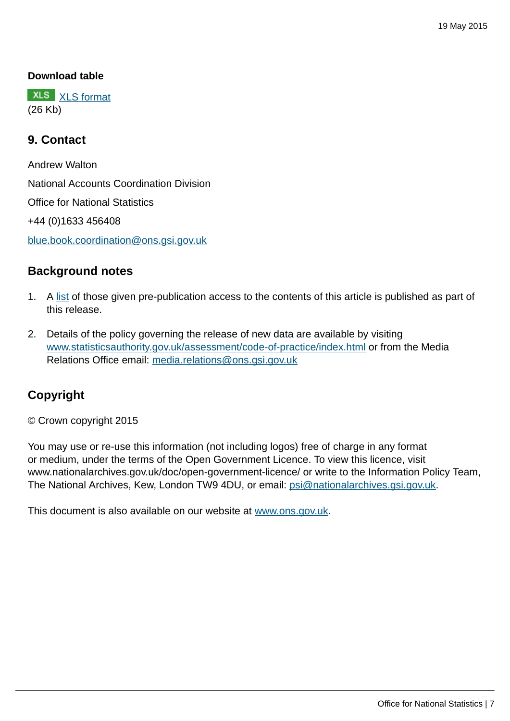#### **Download table**

**XLS** [XLS format](http://www.ons.gov.uk:80/ons/rel/naa1-rd/national-accounts-articles/impact-of-esa-1995-changes-on-current-price-gross-national-income-estimates--2002-to-2010/prt-gni-table-1.xls) (26 Kb)

#### **9. Contact**

Andrew Walton National Accounts Coordination Division Office for National Statistics +44 (0)1633 456408 [blue.book.coordination@ons.gsi.gov.uk](mailto:blue.book.coordination@ons.gsi.gov.uk)

#### **Background notes**

- 1. A [list](http://www.ons.gov.uk:80/ons/rel/naa1-rd/national-accounts-articles/impact-of-esa-1995-changes-on-current-price-gross-national-income-estimates--2002-to-2010/pre-rel-gni.html) of those given pre-publication access to the contents of this article is published as part of this release.
- 2. Details of the policy governing the release of new data are available by visiting [www.statisticsauthority.gov.uk/assessment/code-of-practice/index.html](http://www.statisticsauthority.gov.uk/assessment/code-of-practice/index.html) or from the Media Relations Office email: [media.relations@ons.gsi.gov.uk](mailto:media.relations@ons.gsi.gov.uk)

## **Copyright**

© Crown copyright 2015

You may use or re-use this information (not including logos) free of charge in any format or medium, under the terms of the Open Government Licence. To view this licence, visit www.nationalarchives.gov.uk/doc/open-government-licence/ or write to the Information Policy Team, The National Archives, Kew, London TW9 4DU, or email: [psi@nationalarchives.gsi.gov.uk](mailto:psi@nationalarchives.gsi.gov.uk).

This document is also available on our website at [www.ons.gov.uk.](http://www.ons.gov.uk/)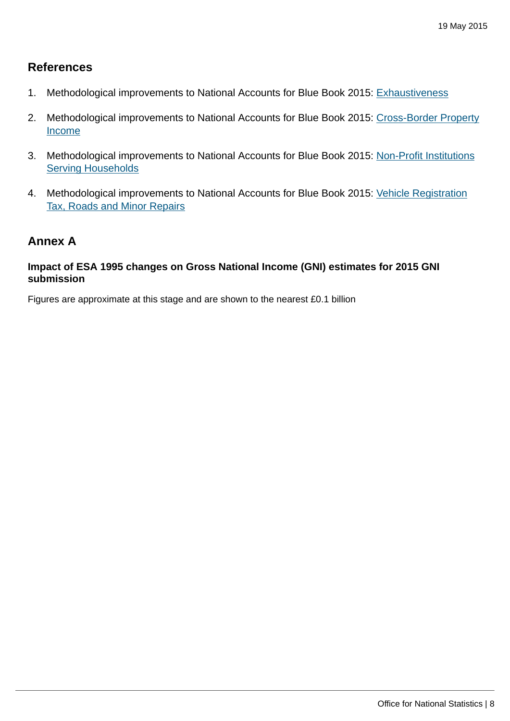#### **References**

- 1. Methodological improvements to National Accounts for Blue Book 2015: [Exhaustiveness](http://www.ons.gov.uk:80/ons/guide-method/method-quality/specific/economy/national-accounts/changes-to-national-accounts/blue-book-and-pink-book-2015-changes/index.html)
- 2. Methodological improvements to National Accounts for Blue Book 2015: [Cross-Border Property](http://www.ons.gov.uk:80/ons/guide-method/method-quality/specific/economy/national-accounts/changes-to-national-accounts/blue-book-and-pink-book-2015-changes/index.html) [Income](http://www.ons.gov.uk:80/ons/guide-method/method-quality/specific/economy/national-accounts/changes-to-national-accounts/blue-book-and-pink-book-2015-changes/index.html)
- 3. Methodological improvements to National Accounts for Blue Book 2015: [Non-Profit Institutions](http://www.ons.gov.uk:80/ons/guide-method/method-quality/specific/economy/national-accounts/changes-to-national-accounts/blue-book-and-pink-book-2015-changes/index.html) [Serving Households](http://www.ons.gov.uk:80/ons/guide-method/method-quality/specific/economy/national-accounts/changes-to-national-accounts/blue-book-and-pink-book-2015-changes/index.html)
- 4. Methodological improvements to National Accounts for Blue Book 2015: [Vehicle Registration](http://www.ons.gov.uk:80/ons/guide-method/method-quality/specific/economy/national-accounts/changes-to-national-accounts/blue-book-and-pink-book-2015-changes/index.html) [Tax, Roads and Minor Repairs](http://www.ons.gov.uk:80/ons/guide-method/method-quality/specific/economy/national-accounts/changes-to-national-accounts/blue-book-and-pink-book-2015-changes/index.html)

#### **Annex A**

#### **Impact of ESA 1995 changes on Gross National Income (GNI) estimates for 2015 GNI submission**

Figures are approximate at this stage and are shown to the nearest £0.1 billion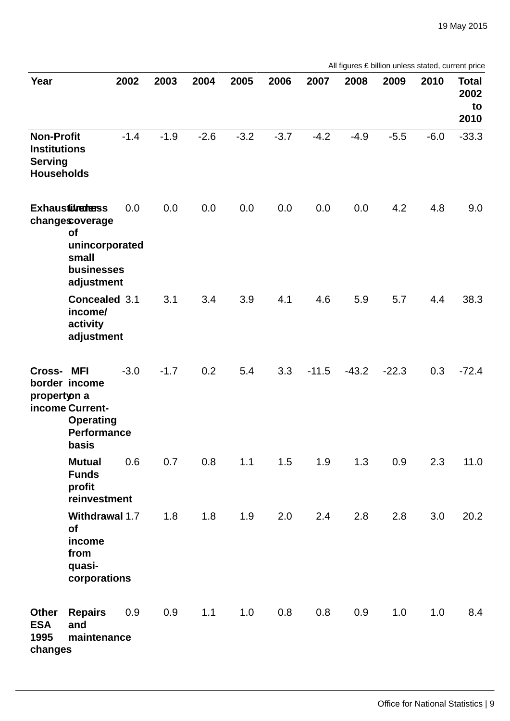| All figures £ billion unless stated, current price |  |  |  |  |  |
|----------------------------------------------------|--|--|--|--|--|
|----------------------------------------------------|--|--|--|--|--|

| Year                                                                            |                                                                                                              | 2002   | 2003   | 2004   | 2005   | 2006   | 2007    | 2008    | 2009    | 2010   | <b>Total</b><br>2002<br>to<br>2010 |
|---------------------------------------------------------------------------------|--------------------------------------------------------------------------------------------------------------|--------|--------|--------|--------|--------|---------|---------|---------|--------|------------------------------------|
| <b>Non-Profit</b><br><b>Institutions</b><br><b>Serving</b><br><b>Households</b> |                                                                                                              | $-1.4$ | $-1.9$ | $-2.6$ | $-3.2$ | $-3.7$ | $-4.2$  | $-4.9$  | $-5.5$  | $-6.0$ | $-33.3$                            |
|                                                                                 | <b>Exhausturedess</b><br>changescoverage<br><b>of</b><br>unincorporated<br>small<br>businesses<br>adjustment | 0.0    | 0.0    | 0.0    | 0.0    | 0.0    | 0.0     | 0.0     | 4.2     | 4.8    | 9.0                                |
|                                                                                 | Concealed 3.1<br>income/<br>activity<br>adjustment                                                           |        | 3.1    | 3.4    | 3.9    | 4.1    | 4.6     | 5.9     | 5.7     | 4.4    | 38.3                               |
| Cross-<br>propertyon a                                                          | MFI<br>border income<br>income Current-<br>Operating<br>Performance<br>basis                                 | $-3.0$ | $-1.7$ | 0.2    | 5.4    | 3.3    | $-11.5$ | $-43.2$ | $-22.3$ | 0.3    | $-72.4$                            |
|                                                                                 | <b>Mutual</b><br><b>Funds</b><br>profit<br>reinvestment                                                      | 0.6    | 0.7    | 0.8    | 1.1    | 1.5    | 1.9     | 1.3     | 0.9     | 2.3    | 11.0                               |
|                                                                                 | Withdrawal 1.7<br><b>of</b><br>income<br>from<br>quasi-<br>corporations                                      |        | 1.8    | 1.8    | 1.9    | 2.0    | 2.4     | 2.8     | 2.8     | 3.0    | 20.2                               |
| Other<br><b>ESA</b><br>1995<br>changes                                          | <b>Repairs</b><br>and<br>maintenance                                                                         | 0.9    | 0.9    | 1.1    | 1.0    | 0.8    | 0.8     | 0.9     | 1.0     | 1.0    | 8.4                                |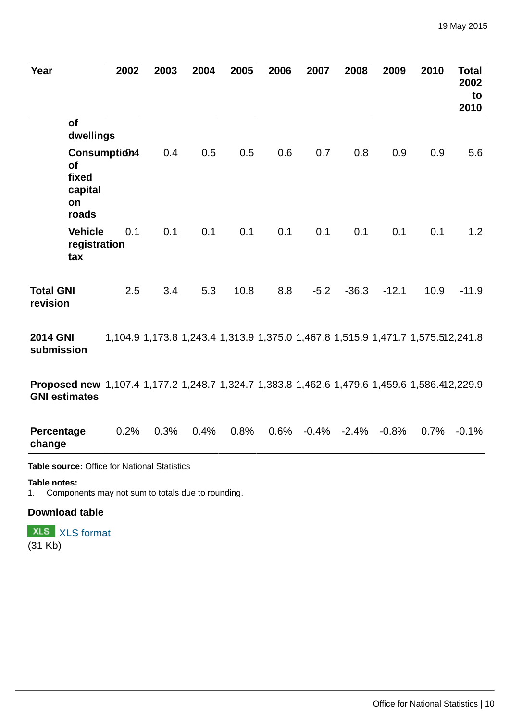| Year                                                                                                                 | 2002         | 2003                                                                            | 2004 | 2005 | 2006 | 2007                      | 2008    | 2009    | 2010 | <b>Total</b><br>2002<br>to<br>2010 |
|----------------------------------------------------------------------------------------------------------------------|--------------|---------------------------------------------------------------------------------|------|------|------|---------------------------|---------|---------|------|------------------------------------|
| of<br>dwellings                                                                                                      |              |                                                                                 |      |      |      |                           |         |         |      |                                    |
| <b>of</b><br>fixed<br>capital<br>on<br>roads                                                                         | Consumption4 | 0.4                                                                             | 0.5  | 0.5  | 0.6  | 0.7                       | 0.8     | 0.9     | 0.9  | 5.6                                |
| <b>Vehicle</b><br>registration<br>tax                                                                                | 0.1          | 0.1                                                                             | 0.1  | 0.1  | 0.1  | 0.1                       | 0.1     | 0.1     | 0.1  | 1.2                                |
| <b>Total GNI</b><br>revision                                                                                         | 2.5          | 3.4                                                                             | 5.3  | 10.8 | 8.8  | $-5.2$                    | $-36.3$ | $-12.1$ | 10.9 | $-11.9$                            |
| <b>2014 GNI</b><br>submission                                                                                        |              | 1,104.9 1,173.8 1,243.4 1,313.9 1,375.0 1,467.8 1,515.9 1,471.7 1,575.512,241.8 |      |      |      |                           |         |         |      |                                    |
| Proposed new 1,107.4 1,177.2 1,248.7 1,324.7 1,383.8 1,462.6 1,479.6 1,459.6 1,586.412,229.9<br><b>GNI estimates</b> |              |                                                                                 |      |      |      |                           |         |         |      |                                    |
| Percentage<br>change                                                                                                 | 0.2%         | 0.3%                                                                            | 0.4% | 0.8% |      | $0.6\%$ $-0.4\%$ $-2.4\%$ |         | $-0.8%$ | 0.7% | $-0.1%$                            |

#### **Table notes:**

1. Components may not sum to totals due to rounding.

## **Download table**

**XLS** [XLS format](http://www.ons.gov.uk:80/ons/rel/naa1-rd/national-accounts-articles/impact-of-esa-1995-changes-on-current-price-gross-national-income-estimates--2002-to-2010/prt-annex-a.xls)  $\overline{(31 \text{ Kb})}$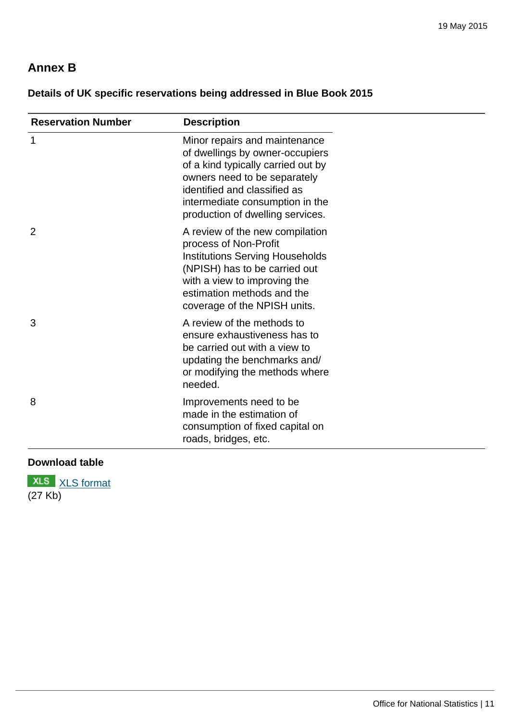# **Annex B**

# **Details of UK specific reservations being addressed in Blue Book 2015**

| <b>Reservation Number</b> | <b>Description</b>                                                                                                                                                                                                                            |
|---------------------------|-----------------------------------------------------------------------------------------------------------------------------------------------------------------------------------------------------------------------------------------------|
| $\mathbf{1}$              | Minor repairs and maintenance<br>of dwellings by owner-occupiers<br>of a kind typically carried out by<br>owners need to be separately<br>identified and classified as<br>intermediate consumption in the<br>production of dwelling services. |
| $\overline{2}$            | A review of the new compilation<br>process of Non-Profit<br>Institutions Serving Households<br>(NPISH) has to be carried out<br>with a view to improving the<br>estimation methods and the<br>coverage of the NPISH units.                    |
| 3                         | A review of the methods to<br>ensure exhaustiveness has to<br>be carried out with a view to<br>updating the benchmarks and/<br>or modifying the methods where<br>needed.                                                                      |
| 8                         | Improvements need to be<br>made in the estimation of<br>consumption of fixed capital on<br>roads, bridges, etc.                                                                                                                               |

## **Download table**

**XLS** [XLS format](http://www.ons.gov.uk:80/ons/rel/naa1-rd/national-accounts-articles/impact-of-esa-1995-changes-on-current-price-gross-national-income-estimates--2002-to-2010/prt-annex-b.xls) (27 Kb)